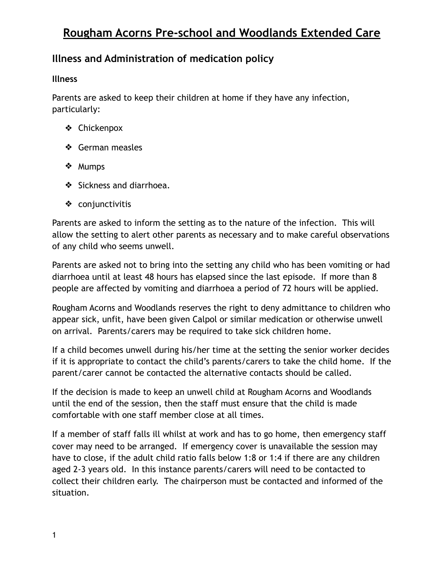## **Rougham Acorns Pre-school and Woodlands Extended Care**

### **Illness and Administration of medication policy**

#### **Illness**

Parents are asked to keep their children at home if they have any infection, particularly:

- ❖ Chickenpox
- ❖ German measles
- ❖ Mumps
- ❖ Sickness and diarrhoea.
- ❖ conjunctivitis

Parents are asked to inform the setting as to the nature of the infection. This will allow the setting to alert other parents as necessary and to make careful observations of any child who seems unwell.

Parents are asked not to bring into the setting any child who has been vomiting or had diarrhoea until at least 48 hours has elapsed since the last episode. If more than 8 people are affected by vomiting and diarrhoea a period of 72 hours will be applied.

Rougham Acorns and Woodlands reserves the right to deny admittance to children who appear sick, unfit, have been given Calpol or similar medication or otherwise unwell on arrival. Parents/carers may be required to take sick children home.

If a child becomes unwell during his/her time at the setting the senior worker decides if it is appropriate to contact the child's parents/carers to take the child home. If the parent/carer cannot be contacted the alternative contacts should be called.

If the decision is made to keep an unwell child at Rougham Acorns and Woodlands until the end of the session, then the staff must ensure that the child is made comfortable with one staff member close at all times.

If a member of staff falls ill whilst at work and has to go home, then emergency staff cover may need to be arranged. If emergency cover is unavailable the session may have to close, if the adult child ratio falls below 1:8 or 1:4 if there are any children aged 2-3 years old. In this instance parents/carers will need to be contacted to collect their children early. The chairperson must be contacted and informed of the situation.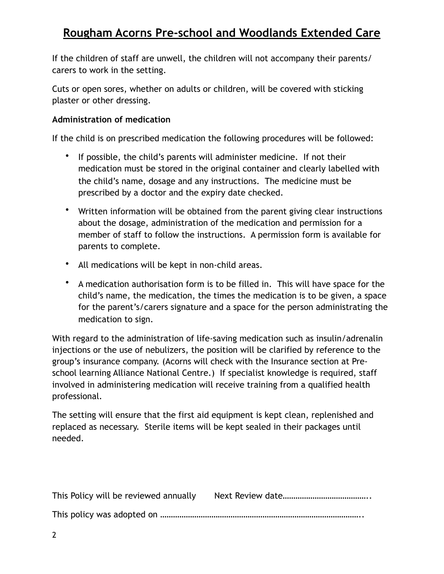If the children of staff are unwell, the children will not accompany their parents/ carers to work in the setting.

Cuts or open sores, whether on adults or children, will be covered with sticking plaster or other dressing.

#### **Administration of medication**

If the child is on prescribed medication the following procedures will be followed:

- If possible, the child's parents will administer medicine. If not their medication must be stored in the original container and clearly labelled with the child's name, dosage and any instructions. The medicine must be prescribed by a doctor and the expiry date checked.
- Written information will be obtained from the parent giving clear instructions about the dosage, administration of the medication and permission for a member of staff to follow the instructions. A permission form is available for parents to complete.
- All medications will be kept in non-child areas.
- A medication authorisation form is to be filled in. This will have space for the child's name, the medication, the times the medication is to be given, a space for the parent's/carers signature and a space for the person administrating the medication to sign.

With regard to the administration of life-saving medication such as insulin/adrenalin injections or the use of nebulizers, the position will be clarified by reference to the group's insurance company. (Acorns will check with the Insurance section at Preschool learning Alliance National Centre.) If specialist knowledge is required, staff involved in administering medication will receive training from a qualified health professional.

The setting will ensure that the first aid equipment is kept clean, replenished and replaced as necessary. Sterile items will be kept sealed in their packages until needed.

| This Policy will be reviewed annually |  |
|---------------------------------------|--|
|                                       |  |